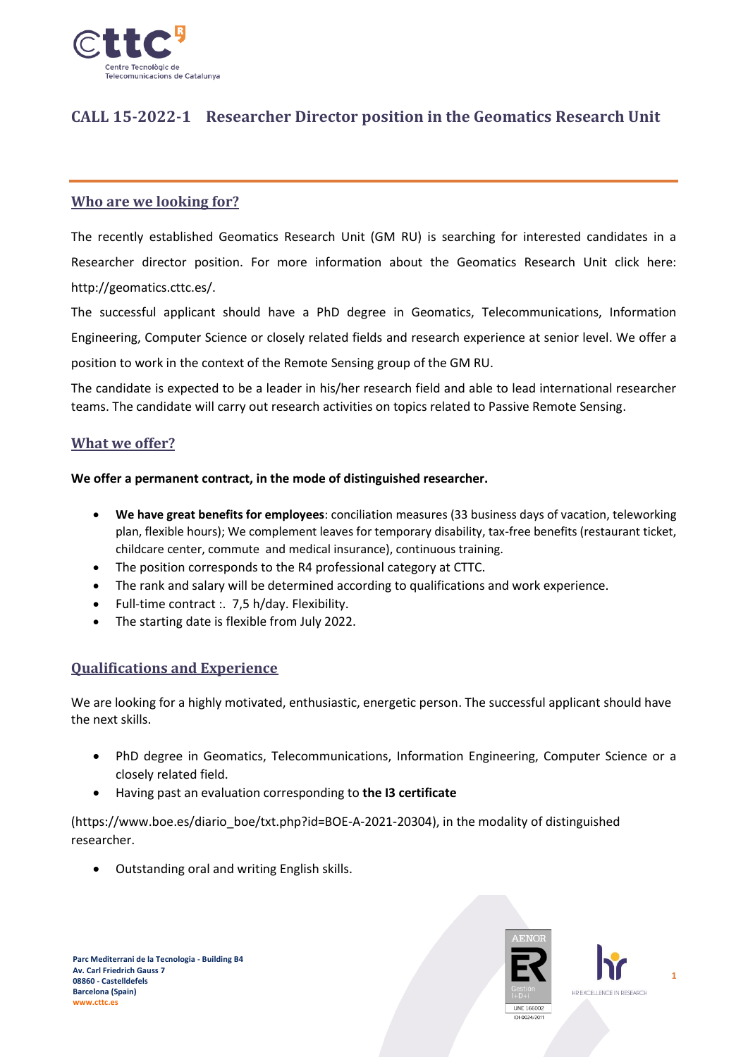

# **CALL 15-2022-1 Researcher Director position in the Geomatics Research Unit**

# **Who are we looking for?**

The recently established Geomatics Research Unit (GM RU) is searching for interested candidates in a Researcher director position. For more information about the Geomatics Research Unit click here: http://geomatics.cttc.es/.

The successful applicant should have a PhD degree in Geomatics, Telecommunications, Information Engineering, Computer Science or closely related fields and research experience at senior level. We offer a position to work in the context of the Remote Sensing group of the GM RU.

The candidate is expected to be a leader in his/her research field and able to lead international researcher teams. The candidate will carry out research activities on topics related to Passive Remote Sensing.

# **What we offer?**

#### **We offer a permanent contract, in the mode of distinguished researcher.**

- **We have great benefits for employees**: conciliation measures (33 business days of vacation, teleworking plan, flexible hours); We complement leaves for temporary disability, tax-free benefits (restaurant ticket, childcare center, commute and medical insurance), continuous training.
- The position corresponds to the R4 professional category at CTTC.
- The rank and salary will be determined according to qualifications and work experience.
- Full-time contract :. 7,5 h/day. Flexibility.
- The starting date is flexible from July 2022.

### **Qualifications and Experience**

We are looking for a highly motivated, enthusiastic, energetic person. The successful applicant should have the next skills.

- PhD degree in Geomatics, Telecommunications, Information Engineering, Computer Science or a closely related field.
- Having past an evaluation corresponding to **the I3 certificate**

(https://www.boe.es/diario\_boe/txt.php?id=BOE-A-2021-20304), in the modality of distinguished researcher.

• Outstanding oral and writing English skills.



**1**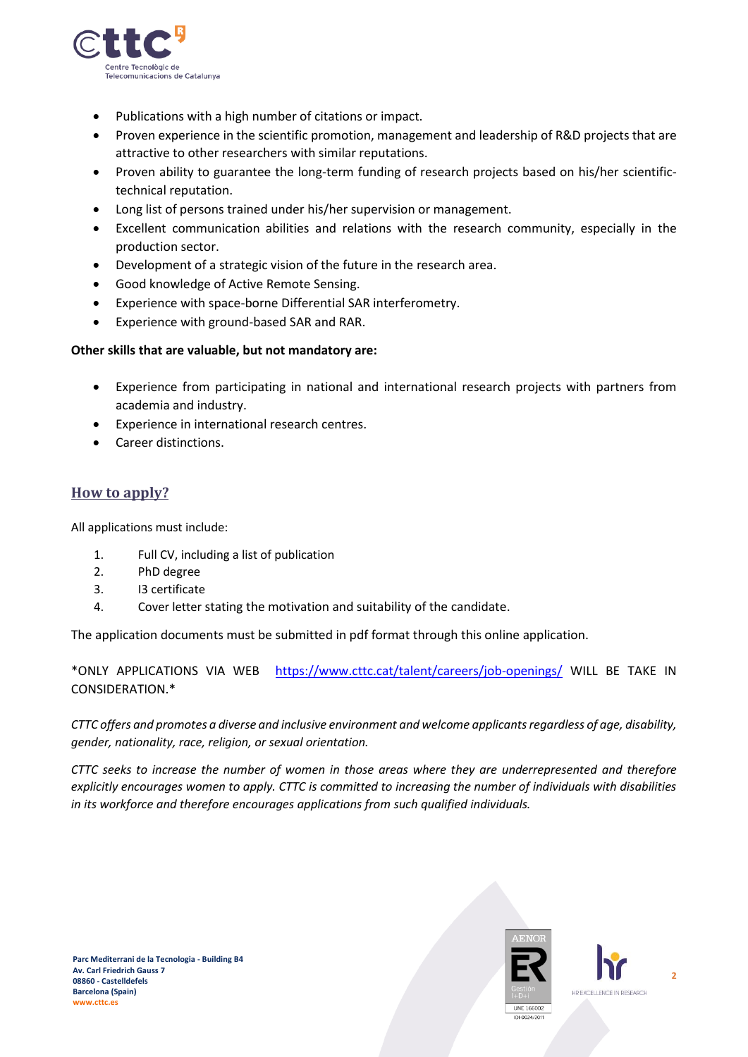

- Publications with a high number of citations or impact.
- Proven experience in the scientific promotion, management and leadership of R&D projects that are attractive to other researchers with similar reputations.
- Proven ability to guarantee the long-term funding of research projects based on his/her scientifictechnical reputation.
- Long list of persons trained under his/her supervision or management.
- Excellent communication abilities and relations with the research community, especially in the production sector.
- Development of a strategic vision of the future in the research area.
- Good knowledge of Active Remote Sensing.
- Experience with space-borne Differential SAR interferometry.
- Experience with ground-based SAR and RAR.

#### **Other skills that are valuable, but not mandatory are:**

- Experience from participating in national and international research projects with partners from academia and industry.
- Experience in international research centres.
- Career distinctions.

# **How to apply?**

All applications must include:

- 1. Full CV, including a list of publication
- 2. PhD degree
- 3. I3 certificate
- 4. Cover letter stating the motivation and suitability of the candidate.

The application documents must be submitted in pdf format through this online application.

\*ONLY APPLICATIONS VIA WEB <https://www.cttc.cat/talent/careers/job-openings/> WILL BE TAKE IN CONSIDERATION.\*

*CTTC offers and promotes a diverse and inclusive environment and welcome applicants regardless of age, disability, gender, nationality, race, religion, or sexual orientation.*

*CTTC seeks to increase the number of women in those areas where they are underrepresented and therefore explicitly encourages women to apply. CTTC is committed to increasing the number of individuals with disabilities in its workforce and therefore encourages applications from such qualified individuals.*



**2**